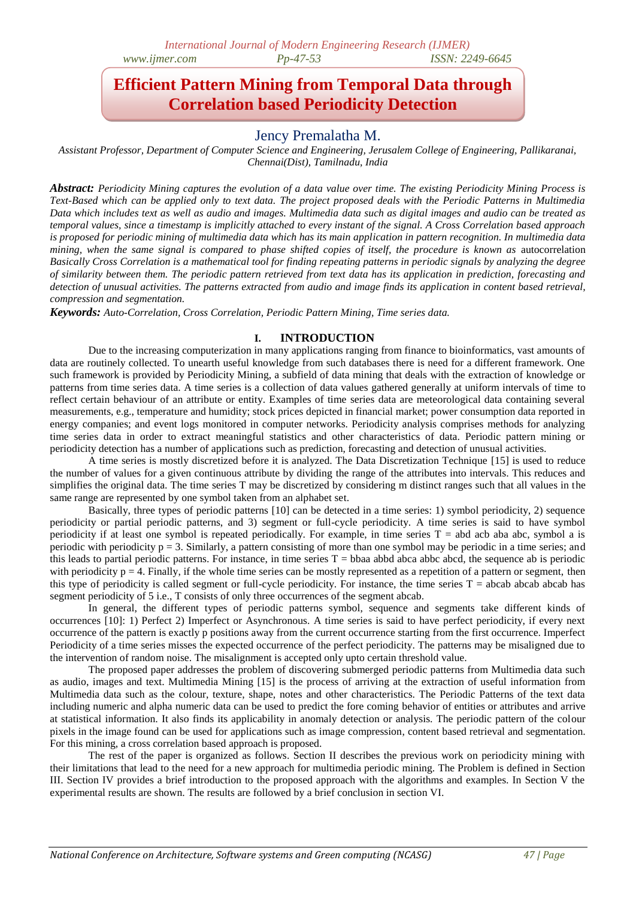# **Efficient Pattern Mining from Temporal Data through Correlation based Periodicity Detection**

# Jency Premalatha M.

*Assistant Professor, Department of Computer Science and Engineering, Jerusalem College of Engineering, Pallikaranai, Chennai(Dist), Tamilnadu, India*

*Abstract: Periodicity Mining captures the evolution of a data value over time. The existing Periodicity Mining Process is Text-Based which can be applied only to text data. The project proposed deals with the Periodic Patterns in Multimedia Data which includes text as well as audio and images. Multimedia data such as digital images and audio can be treated as temporal values, since a timestamp is implicitly attached to every instant of the signal. A Cross Correlation based approach is proposed for periodic mining of multimedia data which has its main application in pattern recognition. In multimedia data mining, when the same signal is compared to phase shifted copies of itself, the procedure is known as* autocorrelation *Basically Cross Correlation is a mathematical tool for finding repeating patterns in periodic signals by analyzing the degree of similarity between them. The periodic pattern retrieved from text data has its application in prediction, forecasting and detection of unusual activities. The patterns extracted from audio and image finds its application in content based retrieval, compression and segmentation.*

*Keywords: Auto-Correlation, Cross Correlation, Periodic Pattern Mining, Time series data.*

# **I. INTRODUCTION**

Due to the increasing computerization in many applications ranging from finance to bioinformatics, vast amounts of data are routinely collected. To unearth useful knowledge from such databases there is need for a different framework. One such framework is provided by Periodicity Mining, a subfield of data mining that deals with the extraction of knowledge or patterns from time series data. A time series is a collection of data values gathered generally at uniform intervals of time to reflect certain behaviour of an attribute or entity. Examples of time series data are meteorological data containing several measurements, e.g., temperature and humidity; stock prices depicted in financial market; power consumption data reported in energy companies; and event logs monitored in computer networks. Periodicity analysis comprises methods for analyzing time series data in order to extract meaningful statistics and other characteristics of data. Periodic pattern mining or periodicity detection has a number of applications such as prediction, forecasting and detection of unusual activities.

A time series is mostly discretized before it is analyzed. The Data Discretization Technique [15] is used to reduce the number of values for a given continuous attribute by dividing the range of the attributes into intervals. This reduces and simplifies the original data. The time series T may be discretized by considering m distinct ranges such that all values in the same range are represented by one symbol taken from an alphabet set.

Basically, three types of periodic patterns [10] can be detected in a time series: 1) symbol periodicity, 2) sequence periodicity or partial periodic patterns, and 3) segment or full-cycle periodicity. A time series is said to have symbol periodicity if at least one symbol is repeated periodically. For example, in time series  $T =$  abd acb aba abc, symbol a is periodic with periodicity  $p = 3$ . Similarly, a pattern consisting of more than one symbol may be periodic in a time series; and this leads to partial periodic patterns. For instance, in time series  $T = bba$  abod abca abbc abcd, the sequence ab is periodic with periodicity  $p = 4$ . Finally, if the whole time series can be mostly represented as a repetition of a pattern or segment, then this type of periodicity is called segment or full-cycle periodicity. For instance, the time series  $T =$  abcab abcab has segment periodicity of 5 i.e., T consists of only three occurrences of the segment abcab.

In general, the different types of periodic patterns symbol, sequence and segments take different kinds of occurrences [10]: 1) Perfect 2) Imperfect or Asynchronous. A time series is said to have perfect periodicity, if every next occurrence of the pattern is exactly p positions away from the current occurrence starting from the first occurrence. Imperfect Periodicity of a time series misses the expected occurrence of the perfect periodicity. The patterns may be misaligned due to the intervention of random noise. The misalignment is accepted only upto certain threshold value.

The proposed paper addresses the problem of discovering submerged periodic patterns from Multimedia data such as audio, images and text. Multimedia Mining [15] is the process of arriving at the extraction of useful information from Multimedia data such as the colour, texture, shape, notes and other characteristics. The Periodic Patterns of the text data including numeric and alpha numeric data can be used to predict the fore coming behavior of entities or attributes and arrive at statistical information. It also finds its applicability in anomaly detection or analysis. The periodic pattern of the colour pixels in the image found can be used for applications such as image compression, content based retrieval and segmentation. For this mining, a cross correlation based approach is proposed.

The rest of the paper is organized as follows. Section II describes the previous work on periodicity mining with their limitations that lead to the need for a new approach for multimedia periodic mining. The Problem is defined in Section III. Section IV provides a brief introduction to the proposed approach with the algorithms and examples. In Section V the experimental results are shown. The results are followed by a brief conclusion in section VI.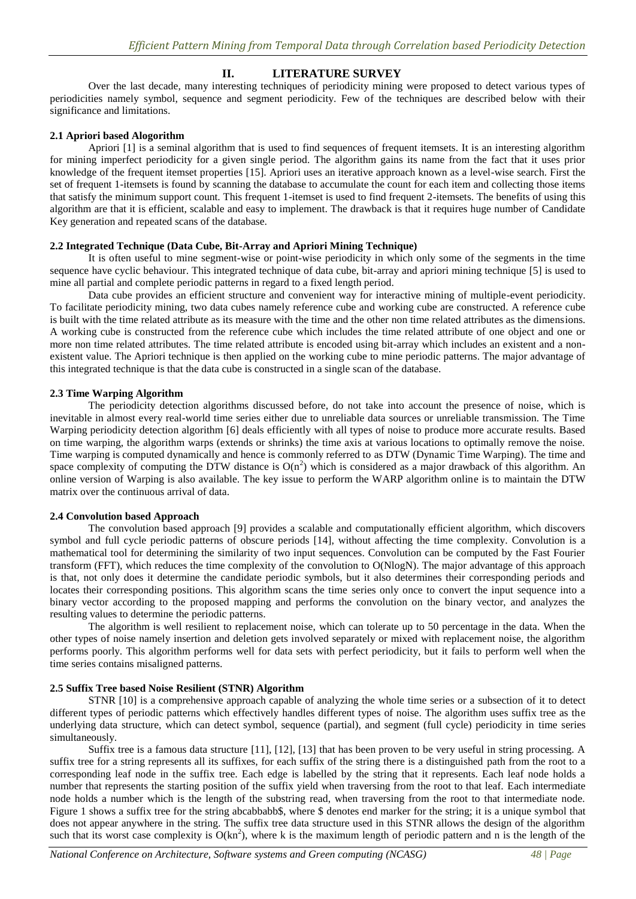# **II. LITERATURE SURVEY**

Over the last decade, many interesting techniques of periodicity mining were proposed to detect various types of periodicities namely symbol, sequence and segment periodicity. Few of the techniques are described below with their significance and limitations.

#### **2.1 Apriori based Alogorithm**

Apriori [1] is a seminal algorithm that is used to find sequences of frequent itemsets. It is an interesting algorithm for mining imperfect periodicity for a given single period. The algorithm gains its name from the fact that it uses prior knowledge of the frequent itemset properties [15]. Apriori uses an iterative approach known as a level-wise search. First the set of frequent 1-itemsets is found by scanning the database to accumulate the count for each item and collecting those items that satisfy the minimum support count. This frequent 1-itemset is used to find frequent 2-itemsets. The benefits of using this algorithm are that it is efficient, scalable and easy to implement. The drawback is that it requires huge number of Candidate Key generation and repeated scans of the database.

### **2.2 Integrated Technique (Data Cube, Bit-Array and Apriori Mining Technique)**

It is often useful to mine segment-wise or point-wise periodicity in which only some of the segments in the time sequence have cyclic behaviour. This integrated technique of data cube, bit-array and apriori mining technique [5] is used to mine all partial and complete periodic patterns in regard to a fixed length period.

Data cube provides an efficient structure and convenient way for interactive mining of multiple-event periodicity. To facilitate periodicity mining, two data cubes namely reference cube and working cube are constructed. A reference cube is built with the time related attribute as its measure with the time and the other non time related attributes as the dimensions. A working cube is constructed from the reference cube which includes the time related attribute of one object and one or more non time related attributes. The time related attribute is encoded using bit-array which includes an existent and a nonexistent value. The Apriori technique is then applied on the working cube to mine periodic patterns. The major advantage of this integrated technique is that the data cube is constructed in a single scan of the database.

### **2.3 Time Warping Algorithm**

The periodicity detection algorithms discussed before, do not take into account the presence of noise, which is inevitable in almost every real-world time series either due to unreliable data sources or unreliable transmission. The Time Warping periodicity detection algorithm [6] deals efficiently with all types of noise to produce more accurate results. Based on time warping, the algorithm warps (extends or shrinks) the time axis at various locations to optimally remove the noise. Time warping is computed dynamically and hence is commonly referred to as DTW (Dynamic Time Warping). The time and space complexity of computing the DTW distance is  $O(n^2)$  which is considered as a major drawback of this algorithm. An online version of Warping is also available. The key issue to perform the WARP algorithm online is to maintain the DTW matrix over the continuous arrival of data.

# **2.4 Convolution based Approach**

The convolution based approach [9] provides a scalable and computationally efficient algorithm, which discovers symbol and full cycle periodic patterns of obscure periods [14], without affecting the time complexity. Convolution is a mathematical tool for determining the similarity of two input sequences. Convolution can be computed by the Fast Fourier transform (FFT), which reduces the time complexity of the convolution to O(NlogN). The major advantage of this approach is that, not only does it determine the candidate periodic symbols, but it also determines their corresponding periods and locates their corresponding positions. This algorithm scans the time series only once to convert the input sequence into a binary vector according to the proposed mapping and performs the convolution on the binary vector, and analyzes the resulting values to determine the periodic patterns.

The algorithm is well resilient to replacement noise, which can tolerate up to 50 percentage in the data. When the other types of noise namely insertion and deletion gets involved separately or mixed with replacement noise, the algorithm performs poorly. This algorithm performs well for data sets with perfect periodicity, but it fails to perform well when the time series contains misaligned patterns.

#### **2.5 Suffix Tree based Noise Resilient (STNR) Algorithm**

STNR [10] is a comprehensive approach capable of analyzing the whole time series or a subsection of it to detect different types of periodic patterns which effectively handles different types of noise. The algorithm uses suffix tree as the underlying data structure, which can detect symbol, sequence (partial), and segment (full cycle) periodicity in time series simultaneously.

Suffix tree is a famous data structure [11], [12], [13] that has been proven to be very useful in string processing. A suffix tree for a string represents all its suffixes, for each suffix of the string there is a distinguished path from the root to a corresponding leaf node in the suffix tree. Each edge is labelled by the string that it represents. Each leaf node holds a number that represents the starting position of the suffix yield when traversing from the root to that leaf. Each intermediate node holds a number which is the length of the substring read, when traversing from the root to that intermediate node. Figure 1 shows a suffix tree for the string abcabbabb\$, where \$ denotes end marker for the string; it is a unique symbol that does not appear anywhere in the string. The suffix tree data structure used in this STNR allows the design of the algorithm such that its worst case complexity is  $O(kn^2)$ , where k is the maximum length of periodic pattern and n is the length of the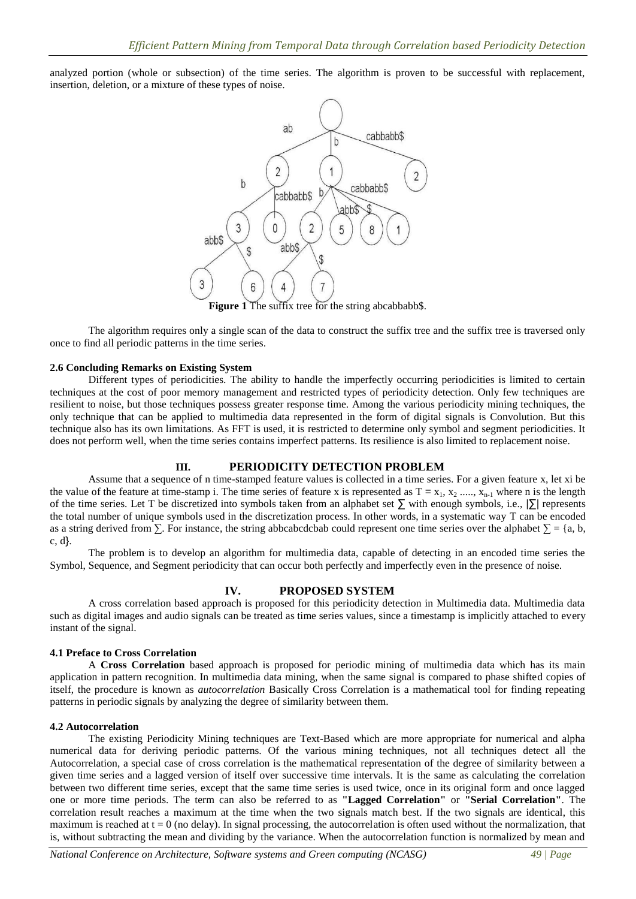analyzed portion (whole or subsection) of the time series. The algorithm is proven to be successful with replacement, insertion, deletion, or a mixture of these types of noise.



**Figure 1** The suffix tree for the string abcabbabb\$.

The algorithm requires only a single scan of the data to construct the suffix tree and the suffix tree is traversed only once to find all periodic patterns in the time series.

#### **2.6 Concluding Remarks on Existing System**

Different types of periodicities. The ability to handle the imperfectly occurring periodicities is limited to certain techniques at the cost of poor memory management and restricted types of periodicity detection. Only few techniques are resilient to noise, but those techniques possess greater response time. Among the various periodicity mining techniques, the only technique that can be applied to multimedia data represented in the form of digital signals is Convolution. But this technique also has its own limitations. As FFT is used, it is restricted to determine only symbol and segment periodicities. It does not perform well, when the time series contains imperfect patterns. Its resilience is also limited to replacement noise.

#### **III. PERIODICITY DETECTION PROBLEM**

Assume that a sequence of n time-stamped feature values is collected in a time series. For a given feature x, let xi be the value of the feature at time-stamp i. The time series of feature x is represented as  $T = x_1, x_2, \ldots, x_{n-1}$  where n is the length of the time series. Let T be discretized into symbols taken from an alphabet set  $\Sigma$  with enough symbols, i.e.,  $\Sigma$  represents the total number of unique symbols used in the discretization process. In other words, in a systematic way T can be encoded as a string derived from  $\Sigma$ . For instance, the string abbcabcdcbab could represent one time series over the alphabet  $\Sigma = \{a, b, c\}$ c, d}.

The problem is to develop an algorithm for multimedia data, capable of detecting in an encoded time series the Symbol, Sequence, and Segment periodicity that can occur both perfectly and imperfectly even in the presence of noise.

# **IV. PROPOSED SYSTEM**

A cross correlation based approach is proposed for this periodicity detection in Multimedia data. Multimedia data such as digital images and audio signals can be treated as time series values, since a timestamp is implicitly attached to every instant of the signal.

#### **4.1 Preface to Cross Correlation**

A **Cross Correlation** based approach is proposed for periodic mining of multimedia data which has its main application in pattern recognition. In multimedia data mining, when the same signal is compared to phase shifted copies of itself, the procedure is known as *autocorrelation* Basically Cross Correlation is a mathematical tool for finding repeating patterns in periodic signals by analyzing the degree of similarity between them.

#### **4.2 Autocorrelation**

The existing Periodicity Mining techniques are Text-Based which are more appropriate for numerical and alpha numerical data for deriving periodic patterns. Of the various mining techniques, not all techniques detect all the Autocorrelation, a special case of cross correlation is the mathematical representation of the degree of similarity between a given time series and a lagged version of itself over successive time intervals. It is the same as calculating the correlation between two different time series, except that the same time series is used twice, once in its original form and once lagged one or more time periods. The term can also be referred to as **"Lagged Correlation"** or **"Serial Correlation"**. The correlation result reaches a maximum at the time when the two signals match best. If the two signals are identical, this maximum is reached at  $t = 0$  (no delay). In signal processing, the autocorrelation is often used without the normalization, that is, without subtracting the mean and dividing by the variance. When the autocorrelation function is normalized by mean and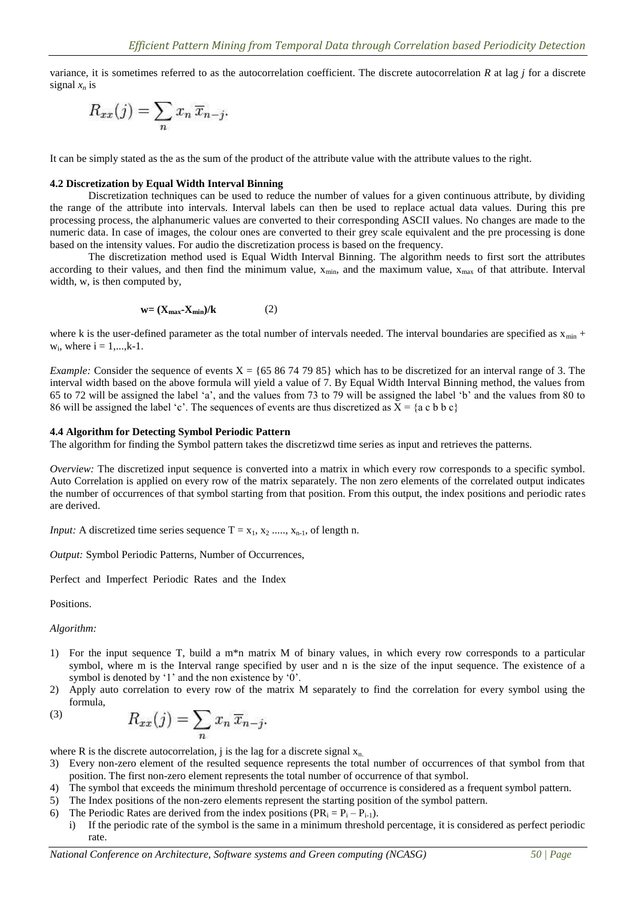variance, it is sometimes referred to as the autocorrelation coefficient. The discrete autocorrelation *R* at lag *j* for a discrete signal  $x_n$  is

$$
R_{xx}(j) = \sum_{n} x_n \overline{x}_{n-j}.
$$

It can be simply stated as the as the sum of the product of the attribute value with the attribute values to the right.

#### **4.2 Discretization by Equal Width Interval Binning**

Discretization techniques can be used to reduce the number of values for a given continuous attribute, by dividing the range of the attribute into intervals. Interval labels can then be used to replace actual data values. During this pre processing process, the alphanumeric values are converted to their corresponding ASCII values. No changes are made to the numeric data. In case of images, the colour ones are converted to their grey scale equivalent and the pre processing is done based on the intensity values. For audio the discretization process is based on the frequency.

The discretization method used is Equal Width Interval Binning. The algorithm needs to first sort the attributes according to their values, and then find the minimum value,  $x_{min}$ , and the maximum value,  $x_{max}$  of that attribute. Interval width, w, is then computed by,

$$
\mathbf{w} = (\mathbf{X}_{\text{max}} - \mathbf{X}_{\text{min}})/\mathbf{k} \tag{2}
$$

where k is the user-defined parameter as the total number of intervals needed. The interval boundaries are specified as  $x_{min}$  +  $w_i$ , where  $i = 1,...,k-1$ .

*Example:* Consider the sequence of events  $X = \{65, 86, 74, 79, 85\}$  which has to be discretized for an interval range of 3. The interval width based on the above formula will yield a value of 7. By Equal Width Interval Binning method, the values from 65 to 72 will be assigned the label "a", and the values from 73 to 79 will be assigned the label "b" and the values from 80 to 86 will be assigned the label 'c'. The sequences of events are thus discretized as  $\bar{X} = \{a \, c \, b \, b \, c\}$ 

#### **4.4 Algorithm for Detecting Symbol Periodic Pattern**

The algorithm for finding the Symbol pattern takes the discretizwd time series as input and retrieves the patterns.

*Overview:* The discretized input sequence is converted into a matrix in which every row corresponds to a specific symbol. Auto Correlation is applied on every row of the matrix separately. The non zero elements of the correlated output indicates the number of occurrences of that symbol starting from that position. From this output, the index positions and periodic rates are derived.

*Input:* A discretized time series sequence  $T = x_1, x_2, \ldots, x_{n-1}$ , of length n.

*Output:* Symbol Periodic Patterns, Number of Occurrences,

Perfect and Imperfect Periodic Rates and the Index

Positions.

*Algorithm:*

- 1) For the input sequence T, build a m\*n matrix M of binary values, in which every row corresponds to a particular symbol, where m is the Interval range specified by user and n is the size of the input sequence. The existence of a symbol is denoted by '1' and the non existence by '0'.
- 2) Apply auto correlation to every row of the matrix M separately to find the correlation for every symbol using the formula,

$$
R_{xx}(j) = \sum_{n} x_n \, \overline{x}_{n-j}.
$$

where R is the discrete autocorrelation, j is the lag for a discrete signal  $x_n$ .

- 3) Every non-zero element of the resulted sequence represents the total number of occurrences of that symbol from that position. The first non-zero element represents the total number of occurrence of that symbol.
- 4) The symbol that exceeds the minimum threshold percentage of occurrence is considered as a frequent symbol pattern.
- 5) The Index positions of the non-zero elements represent the starting position of the symbol pattern.
- 6) The Periodic Rates are derived from the index positions  $(PR_i = P_i P_{i-1})$ .
	- i) If the periodic rate of the symbol is the same in a minimum threshold percentage, it is considered as perfect periodic rate.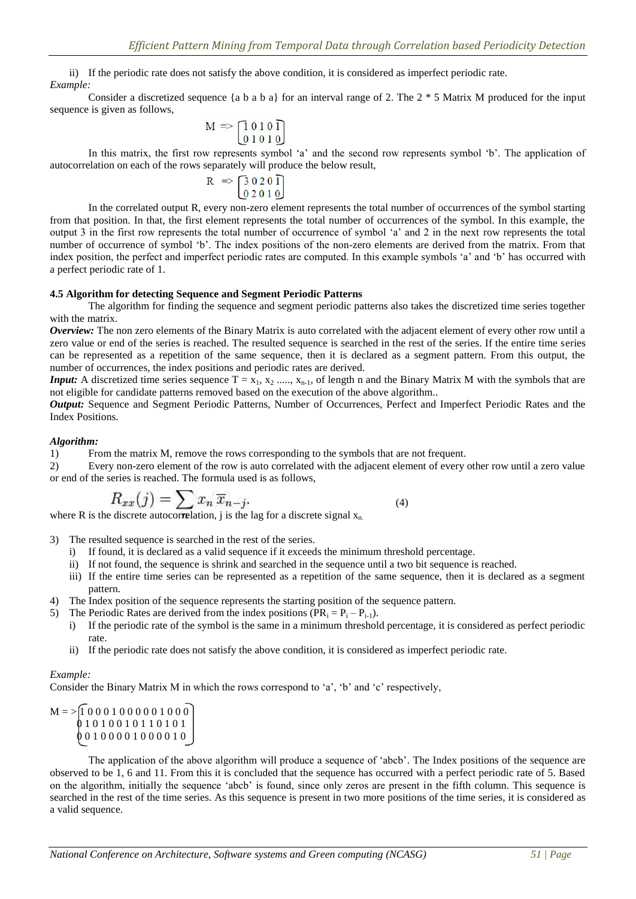ii) If the periodic rate does not satisfy the above condition, it is considered as imperfect periodic rate. *Example:*

Consider a discretized sequence {a b a b a} for an interval range of 2. The  $2 * 5$  Matrix M produced for the input sequence is given as follows,

$$
M \Rightarrow \begin{bmatrix} 1&0&1&0&1\\ 0&1&0&1&0 \end{bmatrix}
$$

In this matrix, the first row represents symbol 'a' and the second row represents symbol 'b'. The application of autocorrelation on each of the rows separately will produce the below result,

$$
R \Rightarrow \begin{bmatrix} 3 & 0 & 2 & 0 \\ 0 & 2 & 0 & 1 \end{bmatrix}
$$

In the correlated output R, every non-zero element represents the total number of occurrences of the symbol starting from that position. In that, the first element represents the total number of occurrences of the symbol. In this example, the output 3 in the first row represents the total number of occurrence of symbol "a" and 2 in the next row represents the total number of occurrence of symbol 'b'. The index positions of the non-zero elements are derived from the matrix. From that index position, the perfect and imperfect periodic rates are computed. In this example symbols "a" and "b" has occurred with a perfect periodic rate of 1.

#### **4.5 Algorithm for detecting Sequence and Segment Periodic Patterns**

The algorithm for finding the sequence and segment periodic patterns also takes the discretized time series together with the matrix.

*Overview:* The non zero elements of the Binary Matrix is auto correlated with the adjacent element of every other row until a zero value or end of the series is reached. The resulted sequence is searched in the rest of the series. If the entire time series can be represented as a repetition of the same sequence, then it is declared as a segment pattern. From this output, the number of occurrences, the index positions and periodic rates are derived.

*Input:* A discretized time series sequence  $T = x_1, x_2, ..., x_{n-1}$ , of length n and the Binary Matrix M with the symbols that are not eligible for candidate patterns removed based on the execution of the above algorithm..

*Output:* Sequence and Segment Periodic Patterns, Number of Occurrences, Perfect and Imperfect Periodic Rates and the Index Positions.

# *Algorithm:*

1) From the matrix M, remove the rows corresponding to the symbols that are not frequent.

2) Every non-zero element of the row is auto correlated with the adjacent element of every other row until a zero value or end of the series is reached. The formula used is as follows,

$$
R_{xx}(j) = \sum x_n \, \overline{x}_{n-j}.
$$

(4)

where R is the discrete autocorrelation, j is the lag for a discrete signal  $x_{n}$ .

- 3) The resulted sequence is searched in the rest of the series.
	- i) If found, it is declared as a valid sequence if it exceeds the minimum threshold percentage.
	- ii) If not found, the sequence is shrink and searched in the sequence until a two bit sequence is reached.
	- iii) If the entire time series can be represented as a repetition of the same sequence, then it is declared as a segment pattern.
- 4) The Index position of the sequence represents the starting position of the sequence pattern.
- 5) The Periodic Rates are derived from the index positions  $(PR_i = P_i P_{i-1})$ .
	- i) If the periodic rate of the symbol is the same in a minimum threshold percentage, it is considered as perfect periodic rate.
	- ii) If the periodic rate does not satisfy the above condition, it is considered as imperfect periodic rate.

#### *Example:*

Consider the Binary Matrix M in which the rows correspond to 'a', 'b' and 'c' respectively,

```
M = > 1 0 0 0 1 0 0 0 0 0 1 0 0 0
0 1 0 1 0 0 1 0 1 1 0 1 0 1
 0 0 1 0 0 0 0 1 0 0 0 0 1 0
```
The application of the above algorithm will produce a sequence of "abcb". The Index positions of the sequence are observed to be 1, 6 and 11. From this it is concluded that the sequence has occurred with a perfect periodic rate of 5. Based on the algorithm, initially the sequence "abcb" is found, since only zeros are present in the fifth column. This sequence is searched in the rest of the time series. As this sequence is present in two more positions of the time series, it is considered as a valid sequence.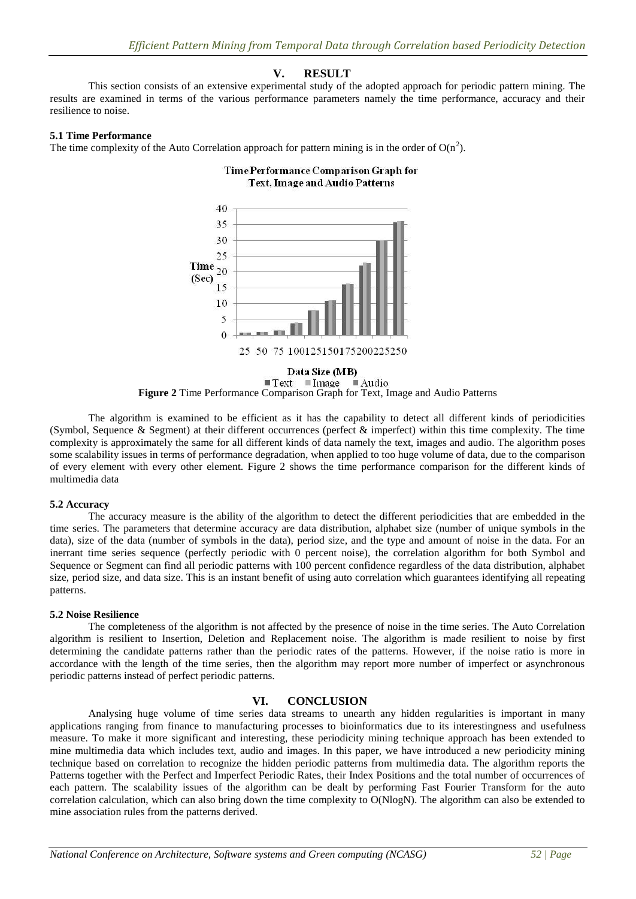# **V. RESULT**

This section consists of an extensive experimental study of the adopted approach for periodic pattern mining. The results are examined in terms of the various performance parameters namely the time performance, accuracy and their resilience to noise.

#### **5.1 Time Performance**

The time complexity of the Auto Correlation approach for pattern mining is in the order of  $O(n^2)$ .

## **Time Performance Comparison Graph for Text. Image and Audio Patterns**



 $\blacksquare$  Text  $\blacksquare$  Image  $\blacksquare$  Audio **Figure 2** Time Performance Comparison Graph for Text, Image and Audio Patterns

The algorithm is examined to be efficient as it has the capability to detect all different kinds of periodicities (Symbol, Sequence & Segment) at their different occurrences (perfect  $\&$  imperfect) within this time complexity. The time complexity is approximately the same for all different kinds of data namely the text, images and audio. The algorithm poses some scalability issues in terms of performance degradation, when applied to too huge volume of data, due to the comparison of every element with every other element. Figure 2 shows the time performance comparison for the different kinds of multimedia data

#### **5.2 Accuracy**

The accuracy measure is the ability of the algorithm to detect the different periodicities that are embedded in the time series. The parameters that determine accuracy are data distribution, alphabet size (number of unique symbols in the data), size of the data (number of symbols in the data), period size, and the type and amount of noise in the data. For an inerrant time series sequence (perfectly periodic with 0 percent noise), the correlation algorithm for both Symbol and Sequence or Segment can find all periodic patterns with 100 percent confidence regardless of the data distribution, alphabet size, period size, and data size. This is an instant benefit of using auto correlation which guarantees identifying all repeating patterns.

#### **5.2 Noise Resilience**

The completeness of the algorithm is not affected by the presence of noise in the time series. The Auto Correlation algorithm is resilient to Insertion, Deletion and Replacement noise. The algorithm is made resilient to noise by first determining the candidate patterns rather than the periodic rates of the patterns. However, if the noise ratio is more in accordance with the length of the time series, then the algorithm may report more number of imperfect or asynchronous periodic patterns instead of perfect periodic patterns.

#### **VI. CONCLUSION**

Analysing huge volume of time series data streams to unearth any hidden regularities is important in many applications ranging from finance to manufacturing processes to bioinformatics due to its interestingness and usefulness measure. To make it more significant and interesting, these periodicity mining technique approach has been extended to mine multimedia data which includes text, audio and images. In this paper, we have introduced a new periodicity mining technique based on correlation to recognize the hidden periodic patterns from multimedia data. The algorithm reports the Patterns together with the Perfect and Imperfect Periodic Rates, their Index Positions and the total number of occurrences of each pattern. The scalability issues of the algorithm can be dealt by performing Fast Fourier Transform for the auto correlation calculation, which can also bring down the time complexity to O(NlogN). The algorithm can also be extended to mine association rules from the patterns derived.